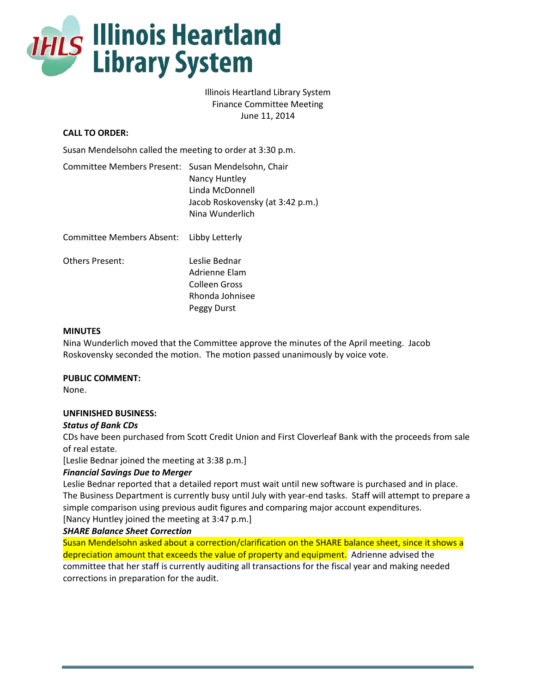

# Illinois Heartland Library System Finance Committee Meeting June 11, 2014

# **CALL TO ORDER:**

Susan Mendelsohn called the meeting to order at 3:30 p.m.

| Committee Members Present: Susan Mendelsohn, Chair |                                  |
|----------------------------------------------------|----------------------------------|
|                                                    | Nancy Huntley                    |
|                                                    | Linda McDonnell                  |
|                                                    | Jacob Roskovensky (at 3:42 p.m.) |
|                                                    | Nina Wunderlich                  |
|                                                    |                                  |

| Committee Members Absent: Libby Letterly |                 |
|------------------------------------------|-----------------|
| Others Present:                          | Leslie Bednar   |
|                                          | Adrienne Elam   |
|                                          | Colleen Gross   |
|                                          | Rhonda Johnisee |
|                                          | Peggy Durst     |

## **MINUTES**

Nina Wunderlich moved that the Committee approve the minutes of the April meeting. Jacob Roskovensky seconded the motion. The motion passed unanimously by voice vote.

**PUBLIC COMMENT:**

None.

## **UNFINISHED BUSINESS:**

#### *Status of Bank CDs*

CDs have been purchased from Scott Credit Union and First Cloverleaf Bank with the proceeds from sale of real estate.

[Leslie Bednar joined the meeting at 3:38 p.m.]

## *Financial Savings Due to Merger*

Leslie Bednar reported that a detailed report must wait until new software is purchased and in place. The Business Department is currently busy until July with year-end tasks. Staff will attempt to prepare a simple comparison using previous audit figures and comparing major account expenditures.

[Nancy Huntley joined the meeting at 3:47 p.m.]

# *SHARE Balance Sheet Correction*

Susan Mendelsohn asked about a correction/clarification on the SHARE balance sheet, since it shows a depreciation amount that exceeds the value of property and equipment. Adrienne advised the committee that her staff is currently auditing all transactions for the fiscal year and making needed corrections in preparation for the audit.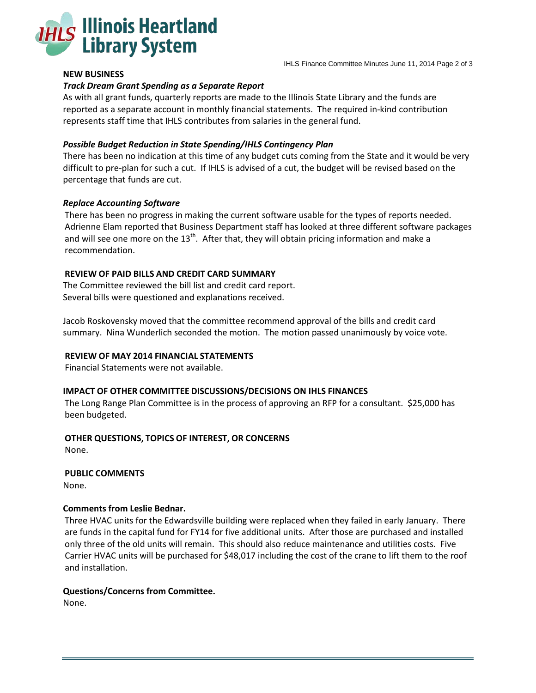

## **NEW BUSINESS**

### *Track Dream Grant Spending as a Separate Report*

As with all grant funds, quarterly reports are made to the Illinois State Library and the funds are reported as a separate account in monthly financial statements. The required in-kind contribution represents staff time that IHLS contributes from salaries in the general fund.

### *Possible Budget Reduction in State Spending/IHLS Contingency Plan*

There has been no indication at this time of any budget cuts coming from the State and it would be very difficult to pre-plan for such a cut. If IHLS is advised of a cut, the budget will be revised based on the percentage that funds are cut.

#### *Replace Accounting Software*

There has been no progress in making the current software usable for the types of reports needed. Adrienne Elam reported that Business Department staff has looked at three different software packages and will see one more on the  $13<sup>th</sup>$ . After that, they will obtain pricing information and make a recommendation.

## **REVIEW OF PAID BILLS AND CREDIT CARD SUMMARY**

The Committee reviewed the bill list and credit card report. Several bills were questioned and explanations received.

Jacob Roskovensky moved that the committee recommend approval of the bills and credit card summary. Nina Wunderlich seconded the motion. The motion passed unanimously by voice vote.

### **REVIEW OF MAY 2014 FINANCIAL STATEMENTS**

Financial Statements were not available.

# **IMPACT OF OTHER COMMITTEE DISCUSSIONS/DECISIONS ON IHLS FINANCES**

The Long Range Plan Committee is in the process of approving an RFP for a consultant. \$25,000 has been budgeted.

#### **OTHER QUESTIONS, TOPICS OF INTEREST, OR CONCERNS**

None.

## **PUBLIC COMMENTS**

None.

#### **Comments from Leslie Bednar.**

Three HVAC units for the Edwardsville building were replaced when they failed in early January. There are funds in the capital fund for FY14 for five additional units. After those are purchased and installed only three of the old units will remain. This should also reduce maintenance and utilities costs. Five Carrier HVAC units will be purchased for \$48,017 including the cost of the crane to lift them to the roof and installation.

#### **Questions/Concerns from Committee.**

None.